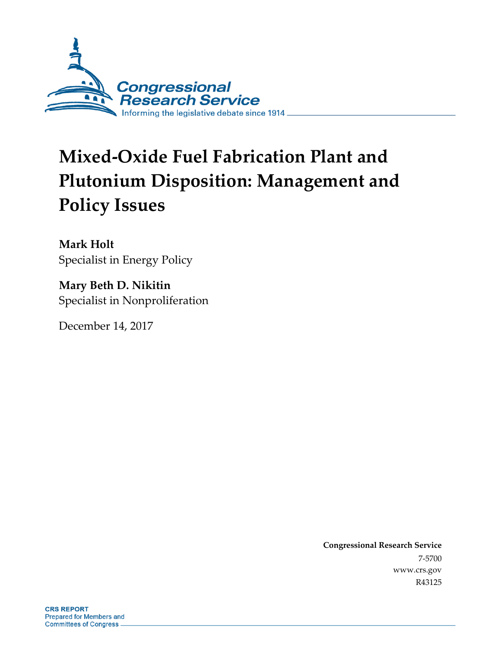

# **Mixed-Oxide Fuel Fabrication Plant and Plutonium Disposition: Management and Policy Issues**

**Mark Holt** Specialist in Energy Policy

**Mary Beth D. Nikitin** Specialist in Nonproliferation

December 14, 2017

**Congressional Research Service** 7-5700 www.crs.gov R43125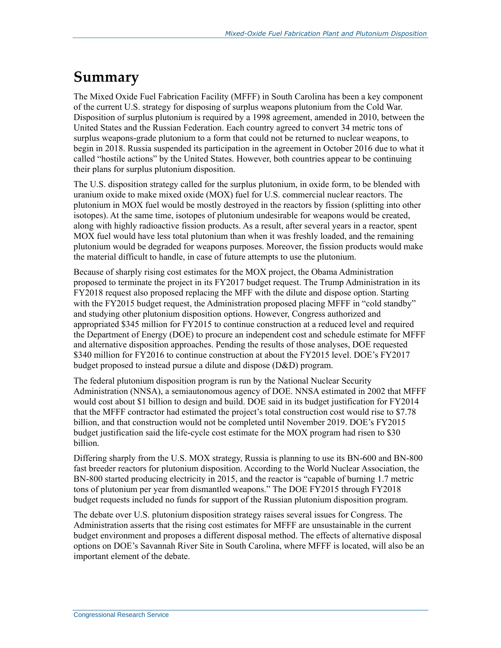#### **Summary**

The Mixed Oxide Fuel Fabrication Facility (MFFF) in South Carolina has been a key component of the current U.S. strategy for disposing of surplus weapons plutonium from the Cold War. Disposition of surplus plutonium is required by a 1998 agreement, amended in 2010, between the United States and the Russian Federation. Each country agreed to convert 34 metric tons of surplus weapons-grade plutonium to a form that could not be returned to nuclear weapons, to begin in 2018. Russia suspended its participation in the agreement in October 2016 due to what it called "hostile actions" by the United States. However, both countries appear to be continuing their plans for surplus plutonium disposition.

The U.S. disposition strategy called for the surplus plutonium, in oxide form, to be blended with uranium oxide to make mixed oxide (MOX) fuel for U.S. commercial nuclear reactors. The plutonium in MOX fuel would be mostly destroyed in the reactors by fission (splitting into other isotopes). At the same time, isotopes of plutonium undesirable for weapons would be created, along with highly radioactive fission products. As a result, after several years in a reactor, spent MOX fuel would have less total plutonium than when it was freshly loaded, and the remaining plutonium would be degraded for weapons purposes. Moreover, the fission products would make the material difficult to handle, in case of future attempts to use the plutonium.

Because of sharply rising cost estimates for the MOX project, the Obama Administration proposed to terminate the project in its FY2017 budget request. The Trump Administration in its FY2018 request also proposed replacing the MFF with the dilute and dispose option. Starting with the FY2015 budget request, the Administration proposed placing MFFF in "cold standby" and studying other plutonium disposition options. However, Congress authorized and appropriated \$345 million for FY2015 to continue construction at a reduced level and required the Department of Energy (DOE) to procure an independent cost and schedule estimate for MFFF and alternative disposition approaches. Pending the results of those analyses, DOE requested \$340 million for FY2016 to continue construction at about the FY2015 level. DOE's FY2017 budget proposed to instead pursue a dilute and dispose (D&D) program.

The federal plutonium disposition program is run by the National Nuclear Security Administration (NNSA), a semiautonomous agency of DOE. NNSA estimated in 2002 that MFFF would cost about \$1 billion to design and build. DOE said in its budget justification for FY2014 that the MFFF contractor had estimated the project's total construction cost would rise to \$7.78 billion, and that construction would not be completed until November 2019. DOE's FY2015 budget justification said the life-cycle cost estimate for the MOX program had risen to \$30 billion.

Differing sharply from the U.S. MOX strategy, Russia is planning to use its BN-600 and BN-800 fast breeder reactors for plutonium disposition. According to the World Nuclear Association, the BN-800 started producing electricity in 2015, and the reactor is "capable of burning 1.7 metric tons of plutonium per year from dismantled weapons." The DOE FY2015 through FY2018 budget requests included no funds for support of the Russian plutonium disposition program.

The debate over U.S. plutonium disposition strategy raises several issues for Congress. The Administration asserts that the rising cost estimates for MFFF are unsustainable in the current budget environment and proposes a different disposal method. The effects of alternative disposal options on DOE's Savannah River Site in South Carolina, where MFFF is located, will also be an important element of the debate.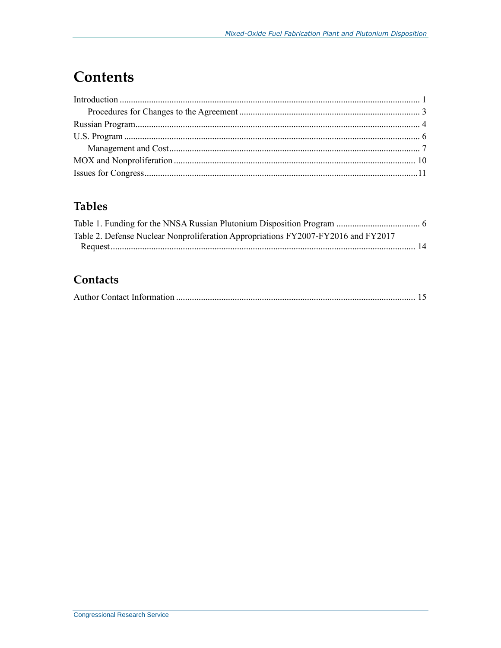# **Contents**

#### **Tables**

| Table 2. Defense Nuclear Nonproliferation Appropriations FY2007-FY2016 and FY2017 |  |
|-----------------------------------------------------------------------------------|--|
|                                                                                   |  |

#### Contacts

|--|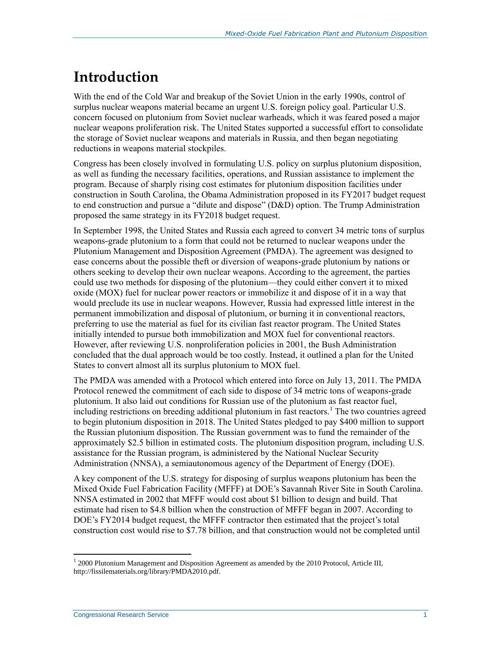# **Introduction**

With the end of the Cold War and breakup of the Soviet Union in the early 1990s, control of surplus nuclear weapons material became an urgent U.S. foreign policy goal. Particular U.S. concern focused on plutonium from Soviet nuclear warheads, which it was feared posed a major nuclear weapons proliferation risk. The United States supported a successful effort to consolidate the storage of Soviet nuclear weapons and materials in Russia, and then began negotiating reductions in weapons material stockpiles.

Congress has been closely involved in formulating U.S. policy on surplus plutonium disposition, as well as funding the necessary facilities, operations, and Russian assistance to implement the program. Because of sharply rising cost estimates for plutonium disposition facilities under construction in South Carolina, the Obama Administration proposed in its FY2017 budget request to end construction and pursue a "dilute and dispose" (D&D) option. The Trump Administration proposed the same strategy in its FY2018 budget request.

In September 1998, the United States and Russia each agreed to convert 34 metric tons of surplus weapons-grade plutonium to a form that could not be returned to nuclear weapons under the Plutonium Management and Disposition Agreement (PMDA). The agreement was designed to ease concerns about the possible theft or diversion of weapons-grade plutonium by nations or others seeking to develop their own nuclear weapons. According to the agreement, the parties could use two methods for disposing of the plutonium—they could either convert it to mixed oxide (MOX) fuel for nuclear power reactors or immobilize it and dispose of it in a way that would preclude its use in nuclear weapons. However, Russia had expressed little interest in the permanent immobilization and disposal of plutonium, or burning it in conventional reactors, preferring to use the material as fuel for its civilian fast reactor program. The United States initially intended to pursue both immobilization and MOX fuel for conventional reactors. However, after reviewing U.S. nonproliferation policies in 2001, the Bush Administration concluded that the dual approach would be too costly. Instead, it outlined a plan for the United States to convert almost all its surplus plutonium to MOX fuel.

The PMDA was amended with a Protocol which entered into force on July 13, 2011. The PMDA Protocol renewed the commitment of each side to dispose of 34 metric tons of weapons-grade plutonium. It also laid out conditions for Russian use of the plutonium as fast reactor fuel, including restrictions on breeding additional plutonium in fast reactors.<sup>1</sup> The two countries agreed to begin plutonium disposition in 2018. The United States pledged to pay \$400 million to support the Russian plutonium disposition. The Russian government was to fund the remainder of the approximately \$2.5 billion in estimated costs. The plutonium disposition program, including U.S. assistance for the Russian program, is administered by the National Nuclear Security Administration (NNSA), a semiautonomous agency of the Department of Energy (DOE).

A key component of the U.S. strategy for disposing of surplus weapons plutonium has been the Mixed Oxide Fuel Fabrication Facility (MFFF) at DOE's Savannah River Site in South Carolina. NNSA estimated in 2002 that MFFF would cost about \$1 billion to design and build. That estimate had risen to \$4.8 billion when the construction of MFFF began in 2007. According to DOE's FY2014 budget request, the MFFF contractor then estimated that the project's total construction cost would rise to \$7.78 billion, and that construction would not be completed until

<sup>&</sup>lt;sup>1</sup> 2000 Plutonium Management and Disposition Agreement as amended by the 2010 Protocol, Article III, http://fissilematerials.org/library/PMDA2010.pdf.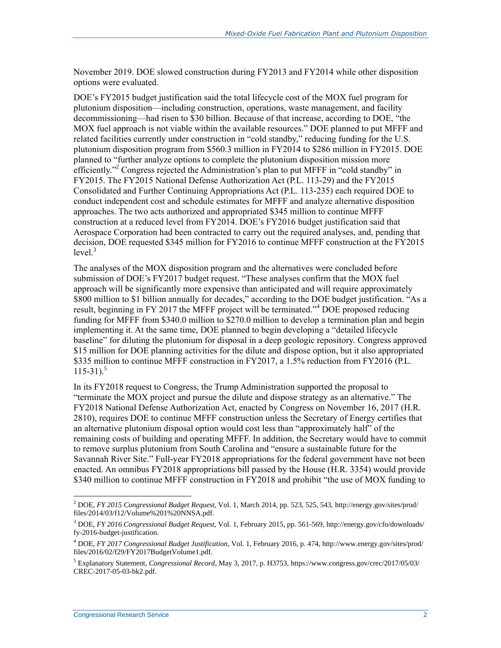November 2019. DOE slowed construction during FY2013 and FY2014 while other disposition options were evaluated.

DOE's FY2015 budget justification said the total lifecycle cost of the MOX fuel program for plutonium disposition—including construction, operations, waste management, and facility decommissioning—had risen to \$30 billion. Because of that increase, according to DOE, "the MOX fuel approach is not viable within the available resources." DOE planned to put MFFF and related facilities currently under construction in "cold standby," reducing funding for the U.S. plutonium disposition program from \$560.3 million in FY2014 to \$286 million in FY2015. DOE planned to "further analyze options to complete the plutonium disposition mission more efficiently."<sup>2</sup> Congress rejected the Administration's plan to put MFFF in "cold standby" in FY2015. The FY2015 National Defense Authorization Act (P.L. 113-29) and the FY2015 Consolidated and Further Continuing Appropriations Act (P.L. 113-235) each required DOE to conduct independent cost and schedule estimates for MFFF and analyze alternative disposition approaches. The two acts authorized and appropriated \$345 million to continue MFFF construction at a reduced level from FY2014. DOE's FY2016 budget justification said that Aerospace Corporation had been contracted to carry out the required analyses, and, pending that decision, DOE requested \$345 million for FY2016 to continue MFFF construction at the FY2015  $level.<sup>3</sup>$ 

The analyses of the MOX disposition program and the alternatives were concluded before submission of DOE's FY2017 budget request. "These analyses confirm that the MOX fuel approach will be significantly more expensive than anticipated and will require approximately \$800 million to \$1 billion annually for decades," according to the DOE budget justification. "As a result, beginning in FY 2017 the MFFF project will be terminated."<sup>4</sup> DOE proposed reducing funding for MFFF from \$340.0 million to \$270.0 million to develop a termination plan and begin implementing it. At the same time, DOE planned to begin developing a "detailed lifecycle baseline" for diluting the plutonium for disposal in a deep geologic repository. Congress approved \$15 million for DOE planning activities for the dilute and dispose option, but it also appropriated \$335 million to continue MFFF construction in FY2017, a 1.5% reduction from FY2016 (P.L.  $115-31$ <sup>5</sup>

In its FY2018 request to Congress, the Trump Administration supported the proposal to "terminate the MOX project and pursue the dilute and dispose strategy as an alternative." The FY2018 National Defense Authorization Act, enacted by Congress on November 16, 2017 (H.R. 2810), requires DOE to continue MFFF construction unless the Secretary of Energy certifies that an alternative plutonium disposal option would cost less than "approximately half" of the remaining costs of building and operating MFFF. In addition, the Secretary would have to commit to remove surplus plutonium from South Carolina and "ensure a sustainable future for the Savannah River Site." Full-year FY2018 appropriations for the federal government have not been enacted. An omnibus FY2018 appropriations bill passed by the House (H.R. 3354) would provide \$340 million to continue MFFF construction in FY2018 and prohibit "the use of MOX funding to

<sup>2</sup> DOE, *FY 2015 Congressional Budget Request*, Vol. 1, March 2014, pp. 523, 525, 543, http://energy.gov/sites/prod/ files/2014/03/f12/Volume%201%20NNSA.pdf.

<sup>3</sup> DOE, *FY 2016 Congressional Budget Request*, Vol. 1, February 2015, pp. 561-569, http://energy.gov/cfo/downloads/ fy-2016-budget-justification.

<sup>4</sup> DOE, *FY 2017 Congressional Budget Justification*, Vol. 1, February 2016, p. 474, http://www.energy.gov/sites/prod/ files/2016/02/f29/FY2017BudgetVolume1.pdf.

<sup>5</sup> Explanatory Statement, *Congressional Record*, May 3, 2017, p. H3753, https://www.congress.gov/crec/2017/05/03/ CREC-2017-05-03-bk2.pdf.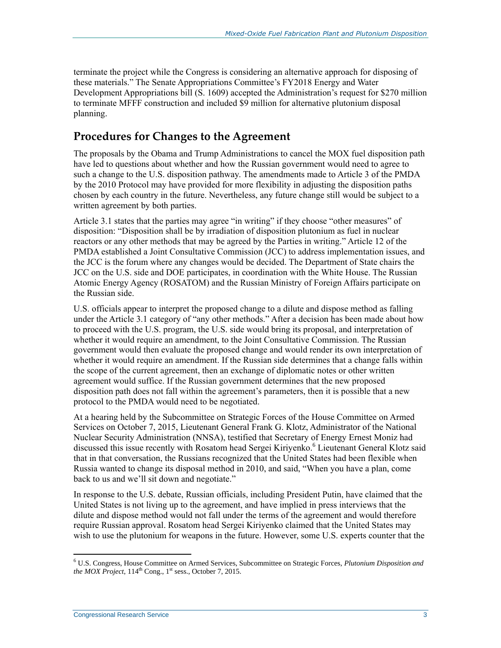terminate the project while the Congress is considering an alternative approach for disposing of these materials." The Senate Appropriations Committee's FY2018 Energy and Water Development Appropriations bill (S. 1609) accepted the Administration's request for \$270 million to terminate MFFF construction and included \$9 million for alternative plutonium disposal planning.

#### **Procedures for Changes to the Agreement**

The proposals by the Obama and Trump Administrations to cancel the MOX fuel disposition path have led to questions about whether and how the Russian government would need to agree to such a change to the U.S. disposition pathway. The amendments made to Article 3 of the PMDA by the 2010 Protocol may have provided for more flexibility in adjusting the disposition paths chosen by each country in the future. Nevertheless, any future change still would be subject to a written agreement by both parties.

Article 3.1 states that the parties may agree "in writing" if they choose "other measures" of disposition: "Disposition shall be by irradiation of disposition plutonium as fuel in nuclear reactors or any other methods that may be agreed by the Parties in writing." Article 12 of the PMDA established a Joint Consultative Commission (JCC) to address implementation issues, and the JCC is the forum where any changes would be decided. The Department of State chairs the JCC on the U.S. side and DOE participates, in coordination with the White House. The Russian Atomic Energy Agency (ROSATOM) and the Russian Ministry of Foreign Affairs participate on the Russian side.

U.S. officials appear to interpret the proposed change to a dilute and dispose method as falling under the Article 3.1 category of "any other methods." After a decision has been made about how to proceed with the U.S. program, the U.S. side would bring its proposal, and interpretation of whether it would require an amendment, to the Joint Consultative Commission. The Russian government would then evaluate the proposed change and would render its own interpretation of whether it would require an amendment. If the Russian side determines that a change falls within the scope of the current agreement, then an exchange of diplomatic notes or other written agreement would suffice. If the Russian government determines that the new proposed disposition path does not fall within the agreement's parameters, then it is possible that a new protocol to the PMDA would need to be negotiated.

At a hearing held by the Subcommittee on Strategic Forces of the House Committee on Armed Services on October 7, 2015, Lieutenant General Frank G. Klotz, Administrator of the National Nuclear Security Administration (NNSA), testified that Secretary of Energy Ernest Moniz had discussed this issue recently with Rosatom head Sergei Kiriyenko.<sup>6</sup> Lieutenant General Klotz said that in that conversation, the Russians recognized that the United States had been flexible when Russia wanted to change its disposal method in 2010, and said, "When you have a plan, come back to us and we'll sit down and negotiate."

In response to the U.S. debate, Russian officials, including President Putin, have claimed that the United States is not living up to the agreement, and have implied in press interviews that the dilute and dispose method would not fall under the terms of the agreement and would therefore require Russian approval. Rosatom head Sergei Kiriyenko claimed that the United States may wish to use the plutonium for weapons in the future. However, some U.S. experts counter that the

<sup>6</sup> U.S. Congress, House Committee on Armed Services, Subcommittee on Strategic Forces, *Plutonium Disposition and the MOX Project*,  $114<sup>th</sup>$  Cong.,  $1<sup>st</sup>$  sess., October 7, 2015.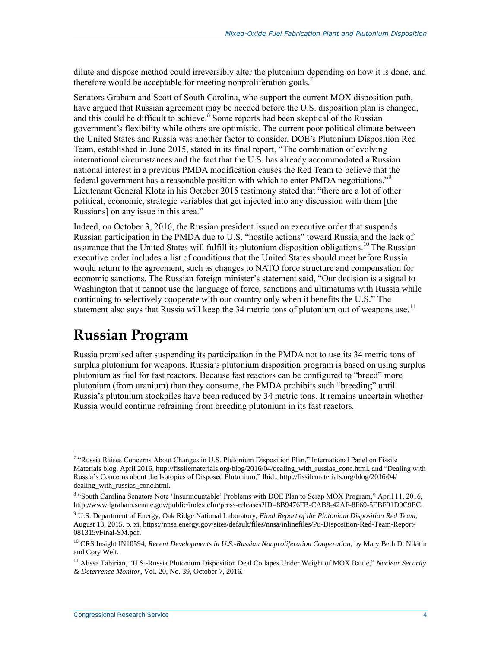dilute and dispose method could irreversibly alter the plutonium depending on how it is done, and therefore would be acceptable for meeting nonproliferation goals.<sup>7</sup>

Senators Graham and Scott of South Carolina, who support the current MOX disposition path, have argued that Russian agreement may be needed before the U.S. disposition plan is changed, and this could be difficult to achieve.<sup>8</sup> Some reports had been skeptical of the Russian government's flexibility while others are optimistic. The current poor political climate between the United States and Russia was another factor to consider. DOE's Plutonium Disposition Red Team, established in June 2015, stated in its final report, "The combination of evolving international circumstances and the fact that the U.S. has already accommodated a Russian national interest in a previous PMDA modification causes the Red Team to believe that the federal government has a reasonable position with which to enter PMDA negotiations."<sup>9</sup> Lieutenant General Klotz in his October 2015 testimony stated that "there are a lot of other political, economic, strategic variables that get injected into any discussion with them [the Russians] on any issue in this area."

Indeed, on October 3, 2016, the Russian president issued an executive order that suspends Russian participation in the PMDA due to U.S. "hostile actions" toward Russia and the lack of assurance that the United States will fulfill its plutonium disposition obligations.<sup>10</sup> The Russian executive order includes a list of conditions that the United States should meet before Russia would return to the agreement, such as changes to NATO force structure and compensation for economic sanctions. The Russian foreign minister's statement said, "Our decision is a signal to Washington that it cannot use the language of force, sanctions and ultimatums with Russia while continuing to selectively cooperate with our country only when it benefits the U.S." The statement also says that Russia will keep the 34 metric tons of plutonium out of weapons use.<sup>11</sup>

### **Russian Program**

Russia promised after suspending its participation in the PMDA not to use its 34 metric tons of surplus plutonium for weapons. Russia's plutonium disposition program is based on using surplus plutonium as fuel for fast reactors. Because fast reactors can be configured to "breed" more plutonium (from uranium) than they consume, the PMDA prohibits such "breeding" until Russia's plutonium stockpiles have been reduced by 34 metric tons. It remains uncertain whether Russia would continue refraining from breeding plutonium in its fast reactors.

 7 "Russia Raises Concerns About Changes in U.S. Plutonium Disposition Plan," International Panel on Fissile Materials blog, April 2016, http://fissilematerials.org/blog/2016/04/dealing\_with\_russias\_conc.html, and "Dealing with Russia's Concerns about the Isotopics of Disposed Plutonium," Ibid., http://fissilematerials.org/blog/2016/04/ dealing\_with\_russias\_conc.html.

<sup>8</sup> "South Carolina Senators Note 'Insurmountable' Problems with DOE Plan to Scrap MOX Program," April 11, 2016, http://www.lgraham.senate.gov/public/index.cfm/press-releases?ID=8B9476FB-CAB8-42AF-8F69-5EBF91D9C9EC.

<sup>9</sup> U.S. Department of Energy, Oak Ridge National Laboratory, *Final Report of the Plutonium Disposition Red Team*, August 13, 2015, p. xi, https://nnsa.energy.gov/sites/default/files/nnsa/inlinefiles/Pu-Disposition-Red-Team-Report-081315vFinal-SM.pdf.

<sup>&</sup>lt;sup>10</sup> CRS Insight IN10594, *Recent Developments in U.S.-Russian Nonproliferation Cooperation*, by Mary Beth D. Nikitin and Cory Welt.

<sup>&</sup>lt;sup>11</sup> Alissa Tabirian, "U.S.-Russia Plutonium Disposition Deal Collapes Under Weight of MOX Battle," *Nuclear Security & Deterrence Monitor*, Vol. 20, No. 39, October 7, 2016.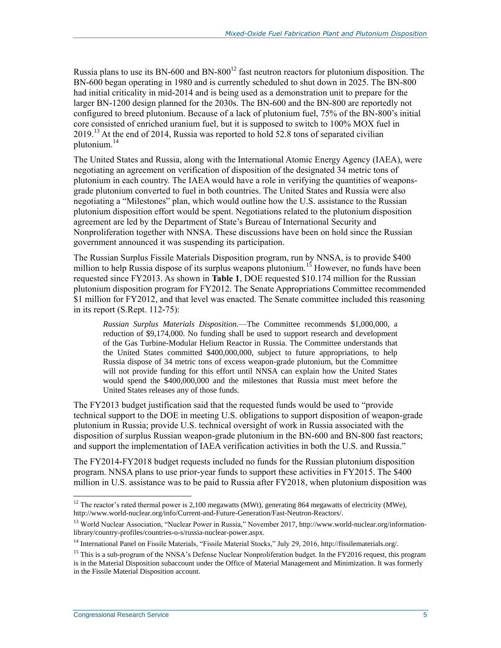Russia plans to use its BN-600 and BN-800<sup>12</sup> fast neutron reactors for plutonium disposition. The BN-600 began operating in 1980 and is currently scheduled to shut down in 2025. The BN-800 had initial criticality in mid-2014 and is being used as a demonstration unit to prepare for the larger BN-1200 design planned for the 2030s. The BN-600 and the BN-800 are reportedly not configured to breed plutonium. Because of a lack of plutonium fuel, 75% of the BN-800's initial core consisted of enriched uranium fuel, but it is supposed to switch to 100% MOX fuel in  $2019<sup>13</sup>$  At the end of 2014, Russia was reported to hold 52.8 tons of separated civilian plutonium.<sup>14</sup>

The United States and Russia, along with the International Atomic Energy Agency (IAEA), were negotiating an agreement on verification of disposition of the designated 34 metric tons of plutonium in each country. The IAEA would have a role in verifying the quantities of weaponsgrade plutonium converted to fuel in both countries. The United States and Russia were also negotiating a "Milestones" plan, which would outline how the U.S. assistance to the Russian plutonium disposition effort would be spent. Negotiations related to the plutonium disposition agreement are led by the Department of State's Bureau of International Security and Nonproliferation together with NNSA. These discussions have been on hold since the Russian government announced it was suspending its participation.

The Russian Surplus Fissile Materials Disposition program, run by NNSA, is to provide \$400 million to help Russia dispose of its surplus weapons plutonium.<sup>15</sup> However, no funds have been requested since FY2013. As shown in **[Table 1](#page-8-0)**, DOE requested \$10.174 million for the Russian plutonium disposition program for FY2012. The Senate Appropriations Committee recommended \$1 million for FY2012, and that level was enacted. The Senate committee included this reasoning in its report (S.Rept. 112-75):

*Russian Surplus Materials Disposition.*—The Committee recommends \$1,000,000, a reduction of \$9,174,000. No funding shall be used to support research and development of the Gas Turbine-Modular Helium Reactor in Russia. The Committee understands that the United States committed \$400,000,000, subject to future appropriations, to help Russia dispose of 34 metric tons of excess weapon-grade plutonium, but the Committee will not provide funding for this effort until NNSA can explain how the United States would spend the \$400,000,000 and the milestones that Russia must meet before the United States releases any of those funds.

The FY2013 budget justification said that the requested funds would be used to "provide technical support to the DOE in meeting U.S. obligations to support disposition of weapon-grade plutonium in Russia; provide U.S. technical oversight of work in Russia associated with the disposition of surplus Russian weapon-grade plutonium in the BN-600 and BN-800 fast reactors; and support the implementation of IAEA verification activities in both the U.S. and Russia."

The FY2014-FY2018 budget requests included no funds for the Russian plutonium disposition program. NNSA plans to use prior-year funds to support these activities in FY2015. The \$400 million in U.S. assistance was to be paid to Russia after FY2018, when plutonium disposition was

 $12$  The reactor's rated thermal power is 2,100 megawatts (MWt), generating 864 megawatts of electricity (MWe), http://www.world-nuclear.org/info/Current-and-Future-Generation/Fast-Neutron-Reactors/.

<sup>&</sup>lt;sup>13</sup> World Nuclear Association, "Nuclear Power in Russia," November 2017, http://www.world-nuclear.org/informationlibrary/country-profiles/countries-o-s/russia-nuclear-power.aspx.

<sup>14</sup> International Panel on Fissile Materials, "Fissile Material Stocks," July 29, 2016, http://fissilematerials.org/.

<sup>&</sup>lt;sup>15</sup> This is a sub-program of the NNSA's Defense Nuclear Nonproliferation budget. In the FY2016 request, this program is in the Material Disposition subaccount under the Office of Material Management and Minimization. It was formerly in the Fissile Material Disposition account.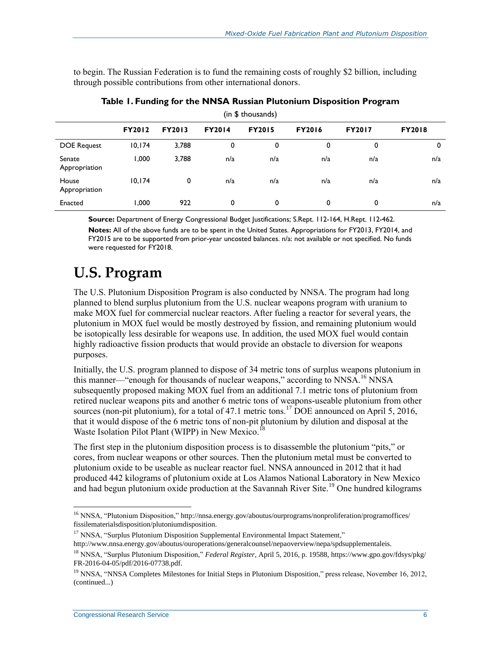<span id="page-8-0"></span>to begin. The Russian Federation is to fund the remaining costs of roughly \$2 billion, including through possible contributions from other international donors.

|                         | <b>FY2012</b> | <b>FY2013</b> | <b>FY2014</b> | <b>FY2015</b> | <b>FY2016</b> | <b>FY2017</b> | <b>FY2018</b> |  |  |  |
|-------------------------|---------------|---------------|---------------|---------------|---------------|---------------|---------------|--|--|--|
| <b>DOE Request</b>      | 10, 174       | 3,788         | 0             | 0             | 0             | 0             | 0             |  |  |  |
| Senate<br>Appropriation | 000, ا        | 3,788         | n/a           | n/a           | n/a           | n/a           | n/a           |  |  |  |
| House<br>Appropriation  | 10, 174       | 0             | n/a           | n/a           | n/a           | n/a           | n/a           |  |  |  |
| <b>Enacted</b>          | 000, ا        | 922           | 0             | 0             | 0             | 0             | n/a           |  |  |  |

| Table 1. Funding for the NNSA Russian Plutonium Disposition Program |                      |  |  |
|---------------------------------------------------------------------|----------------------|--|--|
|                                                                     | $(in$ $$$ thousands) |  |  |

**Source:** Department of Energy Congressional Budget Justifications; S.Rept. 112-164, H.Rept. 112-462.

**Notes:** All of the above funds are to be spent in the United States. Appropriations for FY2013, FY2014, and FY2015 are to be supported from prior-year uncosted balances. n/a: not available or not specified. No funds were requested for FY2018.

### **U.S. Program**

The U.S. Plutonium Disposition Program is also conducted by NNSA. The program had long planned to blend surplus plutonium from the U.S. nuclear weapons program with uranium to make MOX fuel for commercial nuclear reactors. After fueling a reactor for several years, the plutonium in MOX fuel would be mostly destroyed by fission, and remaining plutonium would be isotopically less desirable for weapons use. In addition, the used MOX fuel would contain highly radioactive fission products that would provide an obstacle to diversion for weapons purposes.

Initially, the U.S. program planned to dispose of 34 metric tons of surplus weapons plutonium in this manner—"enough for thousands of nuclear weapons," according to NNSA.<sup>16</sup> NNSA subsequently proposed making MOX fuel from an additional 7.1 metric tons of plutonium from retired nuclear weapons pits and another 6 metric tons of weapons-useable plutonium from other sources (non-pit plutonium), for a total of 47.1 metric tons.<sup>17</sup> DOE announced on April 5, 2016, that it would dispose of the 6 metric tons of non-pit plutonium by dilution and disposal at the Waste Isolation Pilot Plant (WIPP) in New Mexico.<sup>18</sup>

The first step in the plutonium disposition process is to disassemble the plutonium "pits," or cores, from nuclear weapons or other sources. Then the plutonium metal must be converted to plutonium oxide to be useable as nuclear reactor fuel. NNSA announced in 2012 that it had produced 442 kilograms of plutonium oxide at Los Alamos National Laboratory in New Mexico and had begun plutonium oxide production at the Savannah River Site.<sup>19</sup> One hundred kilograms

<sup>&</sup>lt;sup>16</sup> NNSA, "Plutonium Disposition," http://nnsa.energy.gov/aboutus/ourprograms/nonproliferation/programoffices/ fissilematerialsdisposition/plutoniumdisposition.

<sup>&</sup>lt;sup>17</sup> NNSA, "Surplus Plutonium Disposition Supplemental Environmental Impact Statement,"

http://www.nnsa.energy.gov/aboutus/ouroperations/generalcounsel/nepaoverview/nepa/spdsupplementaleis.

<sup>18</sup> NNSA, "Surplus Plutonium Disposition," *Federal Register*, April 5, 2016, p. 19588, https://www.gpo.gov/fdsys/pkg/ FR-2016-04-05/pdf/2016-07738.pdf.

<sup>&</sup>lt;sup>19</sup> NNSA, "NNSA Completes Milestones for Initial Steps in Plutonium Disposition," press release, November 16, 2012, (continued...)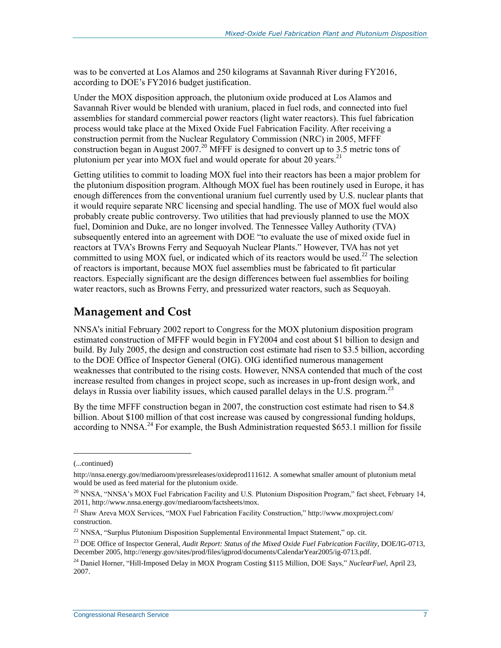was to be converted at Los Alamos and 250 kilograms at Savannah River during FY2016, according to DOE's FY2016 budget justification.

Under the MOX disposition approach, the plutonium oxide produced at Los Alamos and Savannah River would be blended with uranium, placed in fuel rods, and connected into fuel assemblies for standard commercial power reactors (light water reactors). This fuel fabrication process would take place at the Mixed Oxide Fuel Fabrication Facility. After receiving a construction permit from the Nuclear Regulatory Commission (NRC) in 2005, MFFF construction began in August 2007.<sup>20</sup> MFFF is designed to convert up to 3.5 metric tons of plutonium per year into MOX fuel and would operate for about 20 years.<sup>21</sup>

Getting utilities to commit to loading MOX fuel into their reactors has been a major problem for the plutonium disposition program. Although MOX fuel has been routinely used in Europe, it has enough differences from the conventional uranium fuel currently used by U.S. nuclear plants that it would require separate NRC licensing and special handling. The use of MOX fuel would also probably create public controversy. Two utilities that had previously planned to use the MOX fuel, Dominion and Duke, are no longer involved. The Tennessee Valley Authority (TVA) subsequently entered into an agreement with DOE "to evaluate the use of mixed oxide fuel in reactors at TVA's Browns Ferry and Sequoyah Nuclear Plants." However, TVA has not yet committed to using MOX fuel, or indicated which of its reactors would be used.<sup>22</sup> The selection of reactors is important, because MOX fuel assemblies must be fabricated to fit particular reactors. Especially significant are the design differences between fuel assemblies for boiling water reactors, such as Browns Ferry, and pressurized water reactors, such as Sequoyah.

#### **Management and Cost**

NNSA's initial February 2002 report to Congress for the MOX plutonium disposition program estimated construction of MFFF would begin in FY2004 and cost about \$1 billion to design and build. By July 2005, the design and construction cost estimate had risen to \$3.5 billion, according to the DOE Office of Inspector General (OIG). OIG identified numerous management weaknesses that contributed to the rising costs. However, NNSA contended that much of the cost increase resulted from changes in project scope, such as increases in up-front design work, and delays in Russia over liability issues, which caused parallel delays in the U.S. program.<sup>23</sup>

By the time MFFF construction began in 2007, the construction cost estimate had risen to \$4.8 billion. About \$100 million of that cost increase was caused by congressional funding holdups, according to NNSA.<sup>24</sup> For example, the Bush Administration requested \$653.1 million for fissile

<sup>(...</sup>continued)

http://nnsa.energy.gov/mediaroom/pressreleases/oxideprod111612. A somewhat smaller amount of plutonium metal would be used as feed material for the plutonium oxide.

<sup>&</sup>lt;sup>20</sup> NNSA, "NNSA's MOX Fuel Fabrication Facility and U.S. Plutonium Disposition Program," fact sheet, February 14, 2011, http://www.nnsa.energy.gov/mediaroom/factsheets/mox.

<sup>21</sup> Shaw Areva MOX Services, "MOX Fuel Fabrication Facility Construction," http://www.moxproject.com/ construction.

<sup>&</sup>lt;sup>22</sup> NNSA, "Surplus Plutonium Disposition Supplemental Environmental Impact Statement," op. cit.

<sup>23</sup> DOE Office of Inspector General, *Audit Report: Status of the Mixed Oxide Fuel Fabrication Facility*, DOE/IG-0713, December 2005, http://energy.gov/sites/prod/files/igprod/documents/CalendarYear2005/ig-0713.pdf.

<sup>24</sup> Daniel Horner, "Hill-Imposed Delay in MOX Program Costing \$115 Million, DOE Says," *NuclearFuel*, April 23, 2007.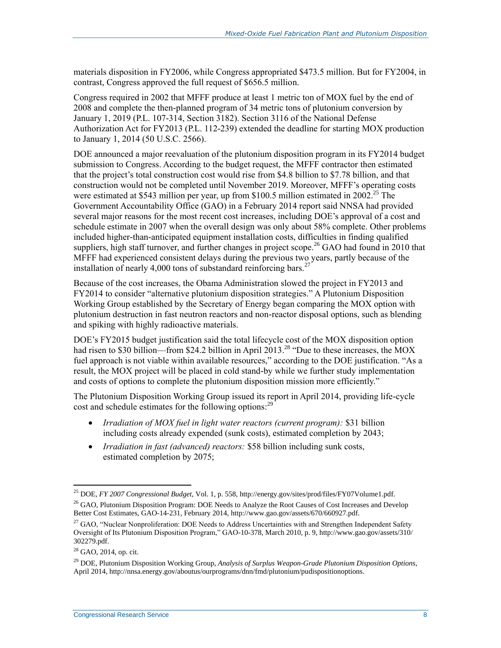materials disposition in FY2006, while Congress appropriated \$473.5 million. But for FY2004, in contrast, Congress approved the full request of \$656.5 million.

Congress required in 2002 that MFFF produce at least 1 metric ton of MOX fuel by the end of 2008 and complete the then-planned program of 34 metric tons of plutonium conversion by January 1, 2019 (P.L. 107-314, Section 3182). Section 3116 of the National Defense Authorization Act for FY2013 (P.L. 112-239) extended the deadline for starting MOX production to January 1, 2014 (50 U.S.C. 2566).

DOE announced a major reevaluation of the plutonium disposition program in its FY2014 budget submission to Congress. According to the budget request, the MFFF contractor then estimated that the project's total construction cost would rise from \$4.8 billion to \$7.78 billion, and that construction would not be completed until November 2019. Moreover, MFFF's operating costs were estimated at \$543 million per year, up from \$100.5 million estimated in 2002.<sup>25</sup> The Government Accountability Office (GAO) in a February 2014 report said NNSA had provided several major reasons for the most recent cost increases, including DOE's approval of a cost and schedule estimate in 2007 when the overall design was only about 58% complete. Other problems included higher-than-anticipated equipment installation costs, difficulties in finding qualified suppliers, high staff turnover, and further changes in project scope.<sup>26</sup> GAO had found in 2010 that MFFF had experienced consistent delays during the previous two years, partly because of the installation of nearly 4,000 tons of substandard reinforcing bars.<sup>27</sup>

Because of the cost increases, the Obama Administration slowed the project in FY2013 and FY2014 to consider "alternative plutonium disposition strategies." A Plutonium Disposition Working Group established by the Secretary of Energy began comparing the MOX option with plutonium destruction in fast neutron reactors and non-reactor disposal options, such as blending and spiking with highly radioactive materials.

DOE's FY2015 budget justification said the total lifecycle cost of the MOX disposition option had risen to \$30 billion—from \$24.2 billion in April 2013.<sup>28</sup> "Due to these increases, the MOX fuel approach is not viable within available resources," according to the DOE justification. "As a result, the MOX project will be placed in cold stand-by while we further study implementation and costs of options to complete the plutonium disposition mission more efficiently."

The Plutonium Disposition Working Group issued its report in April 2014, providing life-cycle cost and schedule estimates for the following options:<sup>29</sup>

- *Irradiation of MOX fuel in light water reactors (current program):* \$31 billion including costs already expended (sunk costs), estimated completion by 2043;
- *Irradiation in fast (advanced) reactors:* \$58 billion including sunk costs, estimated completion by 2075;

<sup>25</sup> DOE, *FY 2007 Congressional Budget*, Vol. 1, p. 558, http://energy.gov/sites/prod/files/FY07Volume1.pdf.

<sup>&</sup>lt;sup>26</sup> GAO, Plutonium Disposition Program: DOE Needs to Analyze the Root Causes of Cost Increases and Develop Better Cost Estimates, GAO-14-231, February 2014, http://www.gao.gov/assets/670/660927.pdf.

<sup>&</sup>lt;sup>27</sup> GAO, "Nuclear Nonproliferation: DOE Needs to Address Uncertainties with and Strengthen Independent Safety Oversight of Its Plutonium Disposition Program," GAO-10-378, March 2010, p. 9, http://www.gao.gov/assets/310/ 302279.pdf.

<sup>28</sup> GAO, 2014, op. cit.

<sup>29</sup> DOE, Plutonium Disposition Working Group, *Analysis of Surplus Weapon-Grade Plutonium Disposition Options*, April 2014, http://nnsa.energy.gov/aboutus/ourprograms/dnn/fmd/plutonium/pudispositionoptions.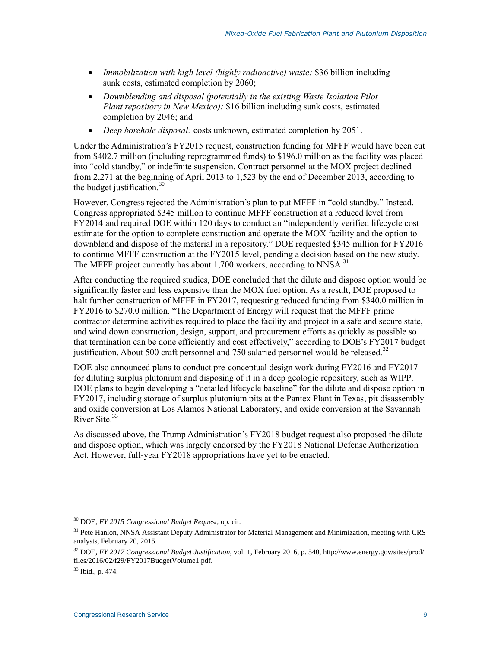- *Immobilization with high level (highly radioactive) waste:* \$36 billion including sunk costs, estimated completion by 2060;
- *Downblending and disposal (potentially in the existing Waste Isolation Pilot Plant repository in New Mexico):* \$16 billion including sunk costs, estimated completion by 2046; and
- *Deep borehole disposal:* costs unknown, estimated completion by 2051.

Under the Administration's FY2015 request, construction funding for MFFF would have been cut from \$402.7 million (including reprogrammed funds) to \$196.0 million as the facility was placed into "cold standby," or indefinite suspension. Contract personnel at the MOX project declined from 2,271 at the beginning of April 2013 to 1,523 by the end of December 2013, according to the budget justification.<sup>30</sup>

However, Congress rejected the Administration's plan to put MFFF in "cold standby." Instead, Congress appropriated \$345 million to continue MFFF construction at a reduced level from FY2014 and required DOE within 120 days to conduct an "independently verified lifecycle cost estimate for the option to complete construction and operate the MOX facility and the option to downblend and dispose of the material in a repository." DOE requested \$345 million for FY2016 to continue MFFF construction at the FY2015 level, pending a decision based on the new study. The MFFF project currently has about 1,700 workers, according to NNSA.<sup>31</sup>

After conducting the required studies, DOE concluded that the dilute and dispose option would be significantly faster and less expensive than the MOX fuel option. As a result, DOE proposed to halt further construction of MFFF in FY2017, requesting reduced funding from \$340.0 million in FY2016 to \$270.0 million. "The Department of Energy will request that the MFFF prime contractor determine activities required to place the facility and project in a safe and secure state, and wind down construction, design, support, and procurement efforts as quickly as possible so that termination can be done efficiently and cost effectively," according to DOE's FY2017 budget justification. About 500 craft personnel and 750 salaried personnel would be released.<sup>32</sup>

DOE also announced plans to conduct pre-conceptual design work during FY2016 and FY2017 for diluting surplus plutonium and disposing of it in a deep geologic repository, such as WIPP. DOE plans to begin developing a "detailed lifecycle baseline" for the dilute and dispose option in FY2017, including storage of surplus plutonium pits at the Pantex Plant in Texas, pit disassembly and oxide conversion at Los Alamos National Laboratory, and oxide conversion at the Savannah River Site.<sup>33</sup>

As discussed above, the Trump Administration's FY2018 budget request also proposed the dilute and dispose option, which was largely endorsed by the FY2018 National Defense Authorization Act. However, full-year FY2018 appropriations have yet to be enacted.

 $\overline{a}$ <sup>30</sup> DOE, *FY 2015 Congressional Budget Request*, op. cit.

<sup>&</sup>lt;sup>31</sup> Pete Hanlon, NNSA Assistant Deputy Administrator for Material Management and Minimization, meeting with CRS analysts, February 20, 2015.

<sup>32</sup> DOE, *FY 2017 Congressional Budget Justification*, vol. 1, February 2016, p. 540, http://www.energy.gov/sites/prod/ files/2016/02/f29/FY2017BudgetVolume1.pdf.

 $33$  Ibid., p. 474.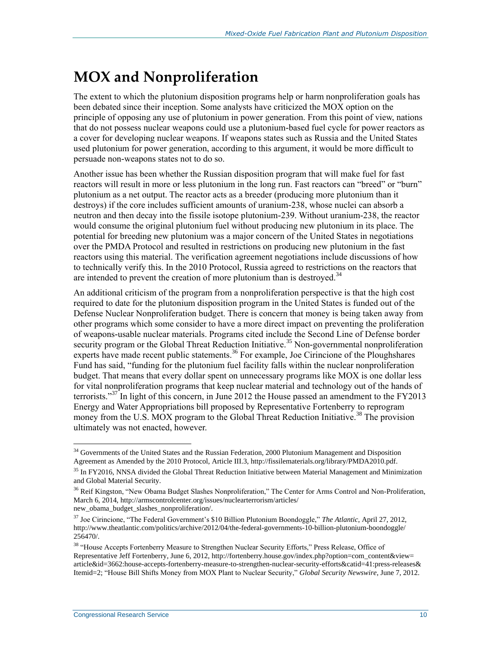# **MOX and Nonproliferation**

The extent to which the plutonium disposition programs help or harm nonproliferation goals has been debated since their inception. Some analysts have criticized the MOX option on the principle of opposing any use of plutonium in power generation. From this point of view, nations that do not possess nuclear weapons could use a plutonium-based fuel cycle for power reactors as a cover for developing nuclear weapons. If weapons states such as Russia and the United States used plutonium for power generation, according to this argument, it would be more difficult to persuade non-weapons states not to do so.

Another issue has been whether the Russian disposition program that will make fuel for fast reactors will result in more or less plutonium in the long run. Fast reactors can "breed" or "burn" plutonium as a net output. The reactor acts as a breeder (producing more plutonium than it destroys) if the core includes sufficient amounts of uranium-238, whose nuclei can absorb a neutron and then decay into the fissile isotope plutonium-239. Without uranium-238, the reactor would consume the original plutonium fuel without producing new plutonium in its place. The potential for breeding new plutonium was a major concern of the United States in negotiations over the PMDA Protocol and resulted in restrictions on producing new plutonium in the fast reactors using this material. The verification agreement negotiations include discussions of how to technically verify this. In the 2010 Protocol, Russia agreed to restrictions on the reactors that are intended to prevent the creation of more plutonium than is destroyed.<sup>34</sup>

An additional criticism of the program from a nonproliferation perspective is that the high cost required to date for the plutonium disposition program in the United States is funded out of the Defense Nuclear Nonproliferation budget. There is concern that money is being taken away from other programs which some consider to have a more direct impact on preventing the proliferation of weapons-usable nuclear materials. Programs cited include the Second Line of Defense border security program or the Global Threat Reduction Initiative.<sup>35</sup> Non-governmental nonproliferation experts have made recent public statements.<sup>36</sup> For example, Joe Cirincione of the Ploughshares Fund has said, "funding for the plutonium fuel facility falls within the nuclear nonproliferation budget. That means that every dollar spent on unnecessary programs like MOX is one dollar less for vital nonproliferation programs that keep nuclear material and technology out of the hands of terrorists."<sup>37</sup> In light of this concern, in June 2012 the House passed an amendment to the FY2013 Energy and Water Appropriations bill proposed by Representative Fortenberry to reprogram money from the U.S. MOX program to the Global Threat Reduction Initiative.<sup>38</sup> The provision ultimately was not enacted, however.

 $\overline{a}$ <sup>34</sup> Governments of the United States and the Russian Federation, 2000 Plutonium Management and Disposition Agreement as Amended by the 2010 Protocol, Article III.3, http://fissilematerials.org/library/PMDA2010.pdf.

<sup>&</sup>lt;sup>35</sup> In FY2016, NNSA divided the Global Threat Reduction Initiative between Material Management and Minimization and Global Material Security.

<sup>&</sup>lt;sup>36</sup> Reif Kingston, "New Obama Budget Slashes Nonproliferation," The Center for Arms Control and Non-Proliferation, March 6, 2014, http://armscontrolcenter.org/issues/nuclearterrorism/articles/ new\_obama\_budget\_slashes\_nonproliferation/.

<sup>37</sup> Joe Cirincione, "The Federal Government's \$10 Billion Plutonium Boondoggle," *The Atlantic*, April 27, 2012, http://www.theatlantic.com/politics/archive/2012/04/the-federal-governments-10-billion-plutonium-boondoggle/ 256470/.

<sup>38</sup> "House Accepts Fortenberry Measure to Strengthen Nuclear Security Efforts," Press Release, Office of Representative Jeff Fortenberry, June 6, 2012, http://fortenberry.house.gov/index.php?option=com\_content&view= article&id=3662:house-accepts-fortenberry-measure-to-strengthen-nuclear-security-efforts&catid=41:press-releases& Itemid=2; "House Bill Shifts Money from MOX Plant to Nuclear Security," *Global Security Newswire*, June 7, 2012.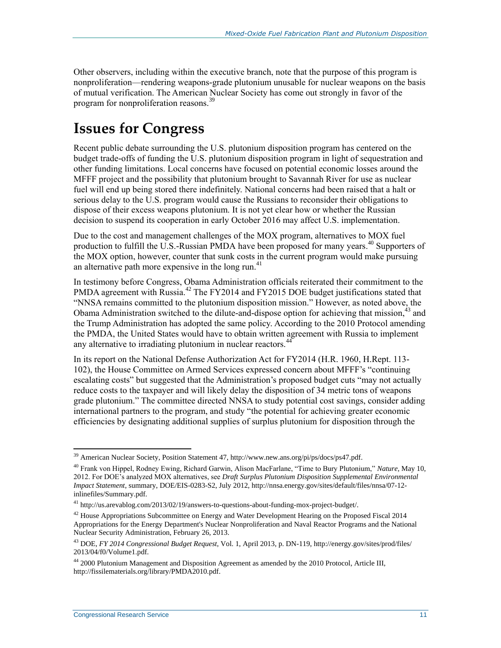Other observers, including within the executive branch, note that the purpose of this program is nonproliferation—rendering weapons-grade plutonium unusable for nuclear weapons on the basis of mutual verification. The American Nuclear Society has come out strongly in favor of the program for nonproliferation reasons.<sup>39</sup>

### **Issues for Congress**

Recent public debate surrounding the U.S. plutonium disposition program has centered on the budget trade-offs of funding the U.S. plutonium disposition program in light of sequestration and other funding limitations. Local concerns have focused on potential economic losses around the MFFF project and the possibility that plutonium brought to Savannah River for use as nuclear fuel will end up being stored there indefinitely. National concerns had been raised that a halt or serious delay to the U.S. program would cause the Russians to reconsider their obligations to dispose of their excess weapons plutonium. It is not yet clear how or whether the Russian decision to suspend its cooperation in early October 2016 may affect U.S. implementation.

Due to the cost and management challenges of the MOX program, alternatives to MOX fuel production to fulfill the U.S.-Russian PMDA have been proposed for many years.<sup>40</sup> Supporters of the MOX option, however, counter that sunk costs in the current program would make pursuing an alternative path more expensive in the long run.<sup>41</sup>

In testimony before Congress, Obama Administration officials reiterated their commitment to the PMDA agreement with Russia.<sup>42</sup> The FY2014 and FY2015 DOE budget justifications stated that "NNSA remains committed to the plutonium disposition mission." However, as noted above, the Obama Administration switched to the dilute-and-dispose option for achieving that mission,<sup>43</sup> and the Trump Administration has adopted the same policy. According to the 2010 Protocol amending the PMDA, the United States would have to obtain written agreement with Russia to implement any alternative to irradiating plutonium in nuclear reactors.<sup>44</sup>

In its report on the National Defense Authorization Act for FY2014 (H.R. 1960, H.Rept. 113- 102), the House Committee on Armed Services expressed concern about MFFF's "continuing escalating costs" but suggested that the Administration's proposed budget cuts "may not actually reduce costs to the taxpayer and will likely delay the disposition of 34 metric tons of weapons grade plutonium." The committee directed NNSA to study potential cost savings, consider adding international partners to the program, and study "the potential for achieving greater economic efficiencies by designating additional supplies of surplus plutonium for disposition through the

<sup>&</sup>lt;sup>39</sup> American Nuclear Society, Position Statement 47, http://www.new.ans.org/pi/ps/docs/ps47.pdf.

<sup>40</sup> Frank von Hippel, Rodney Ewing, Richard Garwin, Alison MacFarlane, "Time to Bury Plutonium," *Nature,* May 10, 2012. For DOE's analyzed MOX alternatives, see *Draft Surplus Plutonium Disposition Supplemental Environmental Impact Statement*, summary, DOE/EIS-0283-S2, July 2012, http://nnsa.energy.gov/sites/default/files/nnsa/07-12 inlinefiles/Summary.pdf.

<sup>41</sup> http://us.arevablog.com/2013/02/19/answers-to-questions-about-funding-mox-project-budget/.

<sup>&</sup>lt;sup>42</sup> House Appropriations Subcommittee on Energy and Water Development Hearing on the Proposed Fiscal 2014 Appropriations for the Energy Department's Nuclear Nonproliferation and Naval Reactor Programs and the National Nuclear Security Administration, February 26, 2013.

<sup>43</sup> DOE, *FY 2014 Congressional Budget Request*, Vol. 1, April 2013, p. DN-119, http://energy.gov/sites/prod/files/ 2013/04/f0/Volume1.pdf.

<sup>44</sup> 2000 Plutonium Management and Disposition Agreement as amended by the 2010 Protocol, Article III, http://fissilematerials.org/library/PMDA2010.pdf.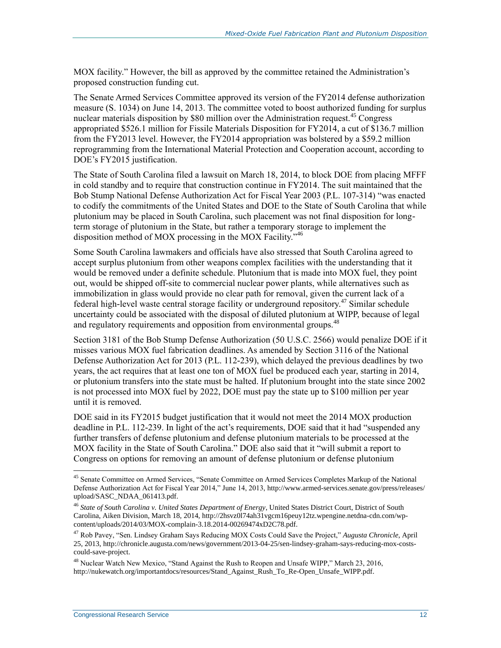MOX facility." However, the bill as approved by the committee retained the Administration's proposed construction funding cut.

The Senate Armed Services Committee approved its version of the FY2014 defense authorization measure (S. 1034) on June 14, 2013. The committee voted to boost authorized funding for surplus nuclear materials disposition by \$80 million over the Administration request.<sup>45</sup> Congress appropriated \$526.1 million for Fissile Materials Disposition for FY2014, a cut of \$136.7 million from the FY2013 level. However, the FY2014 appropriation was bolstered by a \$59.2 million reprogramming from the International Material Protection and Cooperation account, according to DOE's FY2015 justification.

The State of South Carolina filed a lawsuit on March 18, 2014, to block DOE from placing MFFF in cold standby and to require that construction continue in FY2014. The suit maintained that the Bob Stump National Defense Authorization Act for Fiscal Year 2003 (P.L. 107-314) "was enacted to codify the commitments of the United States and DOE to the State of South Carolina that while plutonium may be placed in South Carolina, such placement was not final disposition for longterm storage of plutonium in the State, but rather a temporary storage to implement the disposition method of MOX processing in the MOX Facility."<sup>46</sup>

Some South Carolina lawmakers and officials have also stressed that South Carolina agreed to accept surplus plutonium from other weapons complex facilities with the understanding that it would be removed under a definite schedule. Plutonium that is made into MOX fuel, they point out, would be shipped off-site to commercial nuclear power plants, while alternatives such as immobilization in glass would provide no clear path for removal, given the current lack of a federal high-level waste central storage facility or underground repository.<sup>47</sup> Similar schedule uncertainty could be associated with the disposal of diluted plutonium at WIPP, because of legal and regulatory requirements and opposition from environmental groups.<sup>48</sup>

Section 3181 of the Bob Stump Defense Authorization (50 U.S.C. 2566) would penalize DOE if it misses various MOX fuel fabrication deadlines. As amended by Section 3116 of the National Defense Authorization Act for 2013 (P.L. 112-239), which delayed the previous deadlines by two years, the act requires that at least one ton of MOX fuel be produced each year, starting in 2014, or plutonium transfers into the state must be halted. If plutonium brought into the state since 2002 is not processed into MOX fuel by 2022, DOE must pay the state up to \$100 million per year until it is removed.

DOE said in its FY2015 budget justification that it would not meet the 2014 MOX production deadline in P.L. 112-239. In light of the act's requirements, DOE said that it had "suspended any further transfers of defense plutonium and defense plutonium materials to be processed at the MOX facility in the State of South Carolina." DOE also said that it "will submit a report to Congress on options for removing an amount of defense plutonium or defense plutonium

<sup>&</sup>lt;sup>45</sup> Senate Committee on Armed Services, "Senate Committee on Armed Services Completes Markup of the National Defense Authorization Act for Fiscal Year 2014," June 14, 2013, http://www.armed-services.senate.gov/press/releases/ upload/SASC\_NDAA\_061413.pdf.

<sup>46</sup> *State of South Carolina v. United States Department of Energy*, United States District Court, District of South Carolina, Aiken Division, March 18, 2014, http://2hsvz0l74ah31vgcm16peuy12tz.wpengine.netdna-cdn.com/wpcontent/uploads/2014/03/MOX-complain-3.18.2014-00269474xD2C78.pdf.

<sup>47</sup> Rob Pavey, "Sen. Lindsey Graham Says Reducing MOX Costs Could Save the Project," *Augusta Chronicle*, April 25, 2013, http://chronicle.augusta.com/news/government/2013-04-25/sen-lindsey-graham-says-reducing-mox-costscould-save-project.

<sup>&</sup>lt;sup>48</sup> Nuclear Watch New Mexico, "Stand Against the Rush to Reopen and Unsafe WIPP," March 23, 2016, http://nukewatch.org/importantdocs/resources/Stand\_Against\_Rush\_To\_Re-Open\_Unsafe\_WIPP.pdf.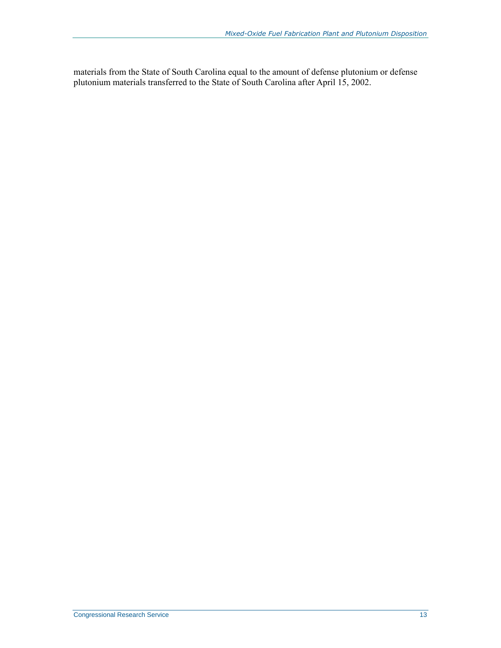materials from the State of South Carolina equal to the amount of defense plutonium or defense plutonium materials transferred to the State of South Carolina after April 15, 2002.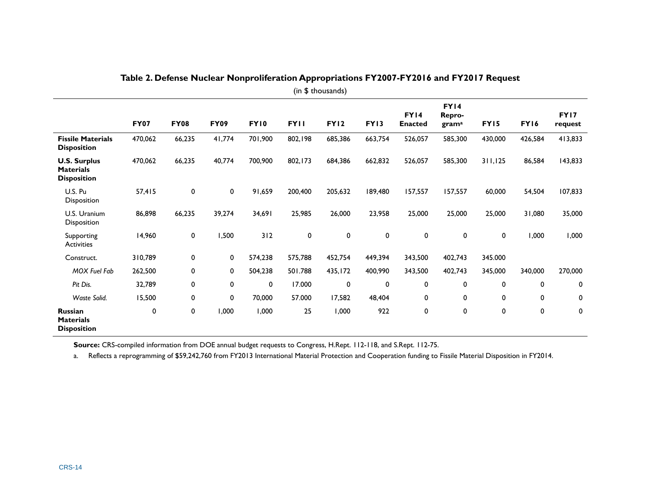| (in \$ thousands)                                             |             |             |             |             |             |         |             |                               |                                     |         |         |                 |
|---------------------------------------------------------------|-------------|-------------|-------------|-------------|-------------|---------|-------------|-------------------------------|-------------------------------------|---------|---------|-----------------|
|                                                               | <b>FY07</b> | <b>FY08</b> | <b>FY09</b> | <b>FY10</b> | <b>FYII</b> | FY12    | <b>FY13</b> | <b>FY14</b><br><b>Enacted</b> | FY14<br>Repro-<br>gram <sup>a</sup> | FY15    | FY16    | FY17<br>request |
| <b>Fissile Materials</b><br><b>Disposition</b>                | 470,062     | 66,235      | 41,774      | 701,900     | 802,198     | 685,386 | 663,754     | 526,057                       | 585,300                             | 430,000 | 426,584 | 413,833         |
| <b>U.S. Surplus</b><br><b>Materials</b><br><b>Disposition</b> | 470,062     | 66,235      | 40,774      | 700,900     | 802,173     | 684,386 | 662,832     | 526,057                       | 585,300                             | 311,125 | 86,584  | 143,833         |
| U.S. Pu<br>Disposition                                        | 57,415      | 0           | 0           | 91,659      | 200,400     | 205,632 | 189,480     | 157,557                       | 157,557                             | 60,000  | 54,504  | 107,833         |
| U.S. Uranium<br>Disposition                                   | 86,898      | 66,235      | 39,274      | 34,691      | 25,985      | 26,000  | 23,958      | 25,000                        | 25,000                              | 25,000  | 31,080  | 35,000          |
| Supporting<br><b>Activities</b>                               | 14,960      | 0           | 1,500       | 312         | 0           | 0       | $\mathbf 0$ | 0                             | 0                                   | 0       | 1,000   | 1,000           |
| Construct.                                                    | 310,789     | 0           | 0           | 574,238     | 575,788     | 452,754 | 449,394     | 343,500                       | 402,743                             | 345.000 |         |                 |
| MOX Fuel Fab                                                  | 262,500     | 0           | 0           | 504,238     | 501.788     | 435,172 | 400,990     | 343,500                       | 402,743                             | 345,000 | 340,000 | 270,000         |
| Pit Dis.                                                      | 32,789      | 0           | 0           | 0           | 17.000      | 0       | 0           | 0                             | 0                                   | 0       | 0       | 0               |
| Waste Solid.                                                  | 15,500      | 0           | 0           | 70,000      | 57.000      | 17,582  | 48,404      | 0                             | 0                                   | 0       | 0       | 0               |
| <b>Russian</b><br><b>Materials</b><br><b>Disposition</b>      | 0           | 0           | 000,        | 1,000       | 25          | 1,000   | 922         | 0                             | 0                                   | 0       | 0       | 0               |

| Table 2. Defense Nuclear Nonproliferation Appropriations FY2007-FY2016 and FY2017 Request |  |  |
|-------------------------------------------------------------------------------------------|--|--|
|                                                                                           |  |  |

**Source:** CRS-compiled information from DOE annual budget requests to Congress, H.Rept. 112-118, and S.Rept. 112-75.

<span id="page-16-0"></span>a. Reflects a reprogramming of \$59,242,760 from FY2013 International Material Protection and Cooperation funding to Fissile Material Disposition in FY2014.